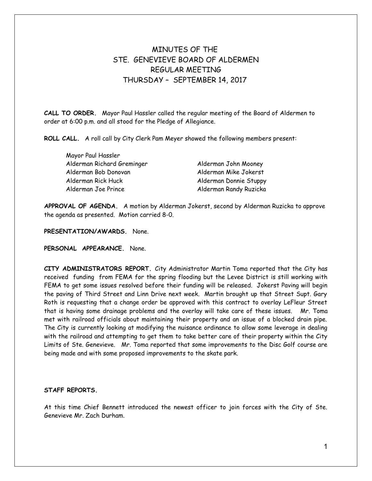# MINUTES OF THE STE. GENEVIEVE BOARD OF ALDERMEN REGULAR MEETING THURSDAY – SEPTEMBER 14, 2017

**CALL TO ORDER.** Mayor Paul Hassler called the regular meeting of the Board of Aldermen to order at 6:00 p.m. and all stood for the Pledge of Allegiance.

**ROLL CALL.** A roll call by City Clerk Pam Meyer showed the following members present:

Mayor Paul Hassler Alderman Richard Greminger Alderman John Mooney Alderman Bob Donovan Alderman Mike Jokerst Alderman Rick Huck Alderman Donnie Stuppy Alderman Joe Prince **Alderman Randy Ruzicka** 

**APPROVAL OF AGENDA.** A motion by Alderman Jokerst, second by Alderman Ruzicka to approve the agenda as presented. Motion carried 8-0.

**PRESENTATION/AWARDS.** None.

**PERSONAL APPEARANCE.** None.

**CITY ADMINISTRATORS REPORT.** City Administrator Martin Toma reported that the City has received funding from FEMA for the spring flooding but the Levee District is still working with FEMA to get some issues resolved before their funding will be released. Jokerst Paving will begin the paving of Third Street and Linn Drive next week. Martin brought up that Street Supt. Gary Roth is requesting that a change order be approved with this contract to overlay LeFleur Street that is having some drainage problems and the overlay will take care of these issues. Mr. Toma met with railroad officials about maintaining their property and an issue of a blocked drain pipe. The City is currently looking at modifying the nuisance ordinance to allow some leverage in dealing with the railroad and attempting to get them to take better care of their property within the City Limits of Ste. Genevieve. Mr. Toma reported that some improvements to the Disc Golf course are being made and with some proposed improvements to the skate park.

### **STAFF REPORTS.**

At this time Chief Bennett introduced the newest officer to join forces with the City of Ste. Genevieve Mr. Zach Durham.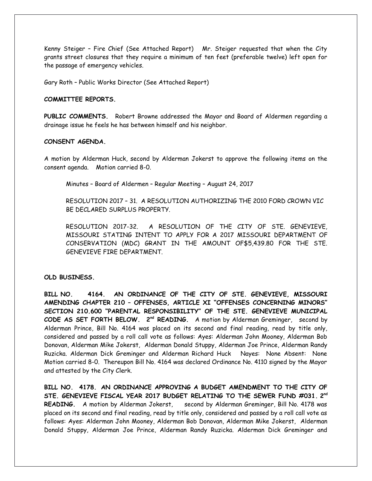Kenny Steiger – Fire Chief (See Attached Report) Mr. Steiger requested that when the City grants street closures that they require a minimum of ten feet (preferable twelve) left open for the passage of emergency vehicles.

Gary Roth – Public Works Director (See Attached Report)

## **COMMITTEE REPORTS.**

**PUBLIC COMMENTS.** Robert Browne addressed the Mayor and Board of Aldermen regarding a drainage issue he feels he has between himself and his neighbor.

# **CONSENT AGENDA.**

A motion by Alderman Huck, second by Alderman Jokerst to approve the following items on the consent agenda. Motion carried 8-0.

Minutes – Board of Aldermen – Regular Meeting – August 24, 2017

RESOLUTION 2017 – 31. A RESOLUTION AUTHORIZING THE 2010 FORD CROWN VIC BE DECLARED SURPLUS PROPERTY.

RESOLUTION 2017-32. A RESOLUTION OF THE CITY OF STE. GENEVIEVE, MISSOURI STATING INTENT TO APPLY FOR A 2017 MISSOURI DEPARTMENT OF CONSERVATION (MDC) GRANT IN THE AMOUNT OF\$5,439.80 FOR THE STE. GENEVIEVE FIRE DEPARTMENT.

### **OLD BUSINESS.**

**BILL NO. 4164. AN ORDINANCE OF THE CITY OF STE. GENEVIEVE, MISSOURI AMENDING CHAPTER 210 – OFFENSES, ARTICLE XI "OFFENSES CONCERNING MINORS" SECTION 210.600 "PARENTAL RESPONSIBILITY" OF THE STE. GENEVIEVE MUNICIPAL CODE AS SET FORTH BELOW. 2nd READING.** A motion by Alderman Greminger, second by Alderman Prince, Bill No. 4164 was placed on its second and final reading, read by title only, considered and passed by a roll call vote as follows: Ayes: Alderman John Mooney, Alderman Bob Donovan, Alderman Mike Jokerst, Alderman Donald Stuppy, Alderman Joe Prince, Alderman Randy Ruzicka. Alderman Dick Greminger and Alderman Richard Huck Nayes: None Absent: None Motion carried 8-0. Thereupon Bill No. 4164 was declared Ordinance No. 4110 signed by the Mayor and attested by the City Clerk.

**BILL NO. 4178. AN ORDINANCE APPROVING A BUDGET AMENDMENT TO THE CITY OF STE. GENEVIEVE FISCAL YEAR 2017 BUDGET RELATING TO THE SEWER FUND #031. 2 nd READING.** A motion by Alderman Jokerst, second by Alderman Greminger, Bill No. 4178 was placed on its second and final reading, read by title only, considered and passed by a roll call vote as follows: Ayes: Alderman John Mooney, Alderman Bob Donovan, Alderman Mike Jokerst, Alderman Donald Stuppy, Alderman Joe Prince, Alderman Randy Ruzicka. Alderman Dick Greminger and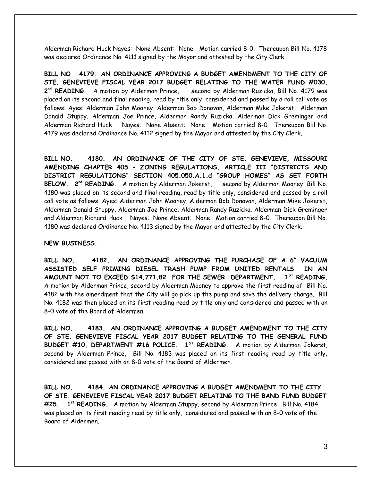Alderman Richard Huck Nayes: None Absent: None Motion carried 8-0. Thereupon Bill No. 4178 was declared Ordinance No. 4111 signed by the Mayor and attested by the City Clerk.

**BILL NO. 4179. AN ORDINANCE APPROVING A BUDGET AMENDMENT TO THE CITY OF STE. GENEVIEVE FISCAL YEAR 2017 BUDGET RELATING TO THE WATER FUND #030.** 2<sup>nd</sup> READING. A motion by Alderman Prince. second by Alderman Ruzicka, Bill No. 4179 was placed on its second and final reading, read by title only, considered and passed by a roll call vote as follows: Ayes: Alderman John Mooney, Alderman Bob Donovan, Alderman Mike Jokerst, Alderman Donald Stuppy, Alderman Joe Prince, Alderman Randy Ruzicka. Alderman Dick Greminger and Alderman Richard Huck Nayes: None Absent: None Motion carried 8-0. Thereupon Bill No. 4179 was declared Ordinance No. 4112 signed by the Mayor and attested by the City Clerk.

**BILL NO. 4180. AN ORDINANCE OF THE CITY OF STE. GENEVIEVE, MISSOURI AMENDING CHAPTER 405 – ZONING REGULATIONS, ARTICLE III "DISTRICTS AND DISTRICT REGULATIONS" SECTION 405.050.A.1.d "GROUP HOMES" AS SET FORTH BELOW. 2nd READING.** A motion by Alderman Jokerst, second by Alderman Mooney, Bill No. 4180 was placed on its second and final reading, read by title only, considered and passed by a roll call vote as follows: Ayes: Alderman John Mooney, Alderman Bob Donovan, Alderman Mike Jokerst, Alderman Donald Stuppy, Alderman Joe Prince, Alderman Randy Ruzicka. Alderman Dick Greminger and Alderman Richard Huck Nayes: None Absent: None Motion carried 8-0. Thereupon Bill No. 4180 was declared Ordinance No. 4113 signed by the Mayor and attested by the City Clerk.

**NEW BUSINESS.**

**BILL NO. 4182. AN ORDINANCE APPROVING THE PURCHASE OF A 6" VACUUM ASSISTED SELF PRIMING DIESEL TRASH PUMP FROM UNITED RENTALS IN AN AMOUNT NOT TO EXCEED \$14,771.82 FOR THE SEWER DEPARTMENT. 1ST READING.** A motion by Alderman Prince, second by Alderman Mooney to approve the first reading of Bill No. 4182 with the amendment that the City will go pick up the pump and save the delivery charge. Bill No. 4182 was then placed on its first reading read by title only and considered and passed with an 8-0 vote of the Board of Aldermen.

**BILL NO. 4183. AN ORDINANCE APPROVING A BUDGET AMENDMENT TO THE CITY OF STE. GENEVIEVE FISCAL YEAR 2017 BUDGET RELATING TO THE GENERAL FUND BUDGET #10, DEPARTMENT #16 POLICE. 1ST READING.** A motion by Alderman Jokerst, second by Alderman Prince, Bill No. 4183 was placed on its first reading read by title only, considered and passed with an 8-0 vote of the Board of Aldermen.

**BILL NO. 4184. AN ORDINANCE APPROVING A BUDGET AMENDMENT TO THE CITY OF STE. GENEVIEVE FISCAL YEAR 2017 BUDGET RELATING TO THE BAND FUND BUDGET #25. 1st READING.** A motion by Alderman Stuppy, second by Alderman Prince, Bill No. 4184 was placed on its first reading read by title only, considered and passed with an 8-0 vote of the Board of Aldermen.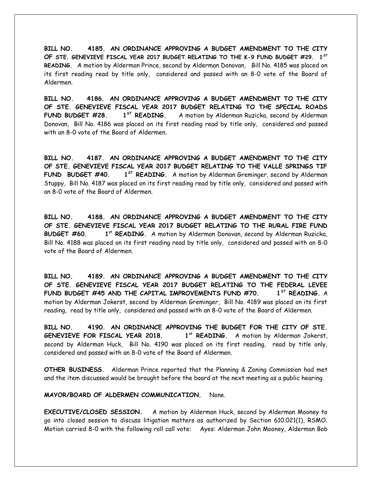**BILL NO. 4185. AN ORDINANCE APPROVING A BUDGET AMENDMENT TO THE CITY OF STE. GENEVIEVE FISCAL YEAR 2017 BUDGET RELATING TO THE K-9 FUND BUDGET #29. 1 ST READING.** A motion by Alderman Prince, second by Alderman Donovan, Bill No. 4185 was placed on its first reading read by title only, considered and passed with an 8-0 vote of the Board of Aldermen.

**BILL NO. 4186. AN ORDINANCE APPROVING A BUDGET AMENDMENT TO THE CITY OF STE. GENEVIEVE FISCAL YEAR 2017 BUDGET RELATING TO THE SPECIAL ROADS FUND BUDGET #28. 1ST READING.** A motion by Alderman Ruzicka, second by Alderman Donovan, Bill No. 4186 was placed on its first reading read by title only, considered and passed with an 8-0 vote of the Board of Aldermen.

**BILL NO. 4187. AN ORDINANCE APPROVING A BUDGET AMENDMENT TO THE CITY OF STE. GENEVIEVE FISCAL YEAR 2017 BUDGET RELATING TO THE VALLE SPRINGS TIF FUND BUDGET #40. 1ST READING.** A motion by Alderman Greminger, second by Alderman Stuppy, Bill No. 4187 was placed on its first reading read by title only, considered and passed with an 8-0 vote of the Board of Aldermen.

**BILL NO. 4188. AN ORDINANCE APPROVING A BUDGET AMENDMENT TO THE CITY OF STE. GENEVIEVE FISCAL YEAR 2017 BUDGET RELATING TO THE RURAL FIRE FUND BUDGET #60. 1** 1<sup>st</sup> READING. A motion by Alderman Donovan, second by Alderman Ruzicka, Bill No. 4188 was placed on its first reading read by title only, considered and passed with an 8-0 vote of the Board of Aldermen.

**BILL NO. 4189. AN ORDINANCE APPROVING A BUDGET AMENDMENT TO THE CITY OF STE. GENEVIEVE FISCAL YEAR 2017 BUDGET RELATING TO THE FEDERAL LEVEE FUND BUDGET #45 AND THE CAPITAL IMPROVEMENTS FUND #70. 1ST READING.** A motion by Alderman Jokerst, second by Alderman Greminger, Bill No. 4189 was placed on its first reading, read by title only, considered and passed with an 8-0 vote of the Board of Aldermen.

**BILL NO. 4190. AN ORDINANCE APPROVING THE BUDGET FOR THE CITY OF STE. GENEVIEVE FOR FISCAL YEAR 2018. 1st READING.** A motion by Alderman Jokerst, second by Alderman Huck, Bill No. 4190 was placed on its first reading, read by title only, considered and passed with an 8-0 vote of the Board of Aldermen.

**OTHER BUSINESS.** Alderman Prince reported that the Planning & Zoning Commission had met and the item discussed would be brought before the board at the next meeting as a public hearing.

**MAYOR/BOARD OF ALDERMEN COMMUNICATION.** None.

**EXECUTIVE/CLOSED SESSION.** A motion by Alderman Huck, second by Alderman Mooney to go into closed session to discuss litigation matters as authorized by Section 610.021(1), RSMO. Motion carried 8-0 with the following roll call vote: Ayes: Alderman John Mooney, Alderman Bob